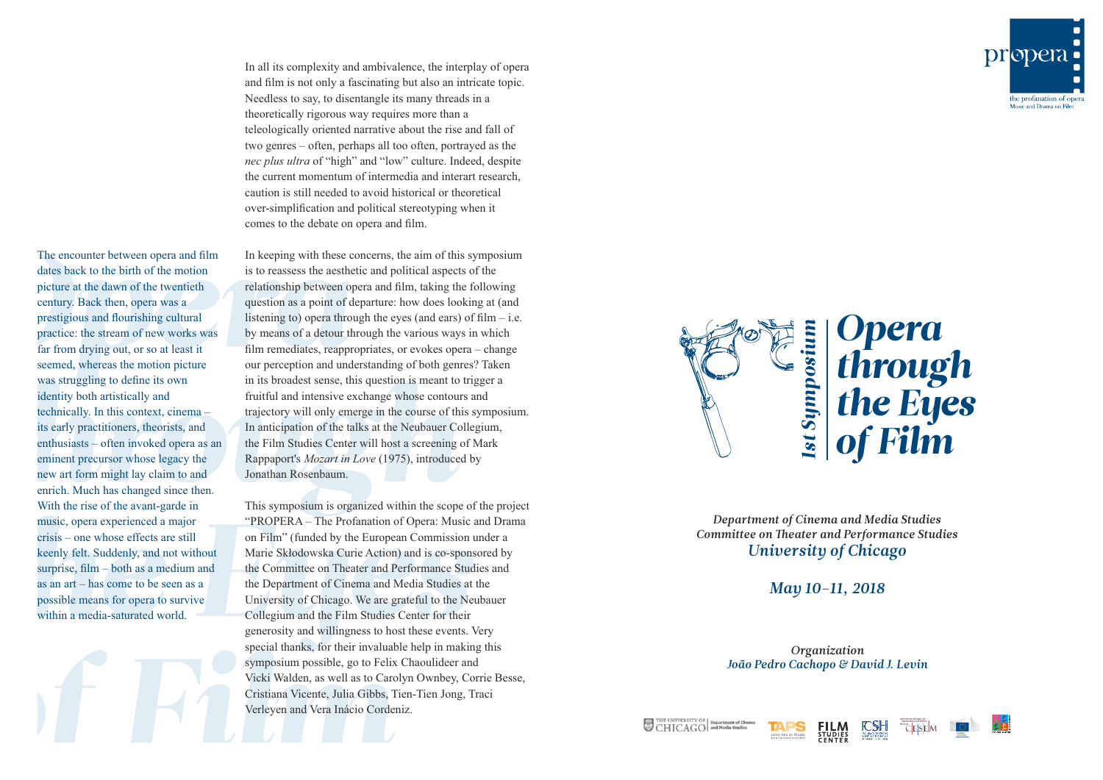In all its complexity and ambivalence, the interplay of opera and film is not only a fascinating but also an intricate topic. Needless to say, to disentangle its many threads in a theoretically rigorous way requires more than a teleologically oriented narrative about the rise and fall of two genres – often, perhaps all too often, portrayed as the *nec plus ultra* of "high" and "low" culture. Indeed, despite the current momentum of intermedia and interart research, caution is still needed to avoid historical or theoretical over-simplification and political stereotyping when it comes to the debate on opera and film.

The encounter between opera and film dates back to the birth of the motion picture at the dawn of the twentieth century. Back then, opera was a prestigious and flourishing cultural practice: the stream of new works was far from drying out, or so at least it seemed, whereas the motion picture was struggling to define its own identity both artistically and technically. In this context, cinema – its early practitioners, theorists, and enthusiasts – often invoked opera as an eminent precursor whose legacy the new art form might lay claim to and enrich. Much has changed since then. With the rise of the avant-garde in music, opera experienced a major crisis – one whose effects are still keenly felt. Suddenly, and not without surprise, film – both as a medium and as an art – has come to be seen as a possible means for opera to survive within a media-saturated world.

In keeping with these concerns, the aim of this symposium is to reassess the aesthetic and political aspects of the relationship between opera and film, taking the following question as a point of departure: how does looking at (and listening to) opera through the eyes (and ears) of  $film - i.e.$ by means of a detour through the various ways in which film remediates, reappropriates, or evokes opera – change our perception and understanding of both genres? Taken in its broadest sense, this question is meant to trigger a fruitful and intensive exchange whose contours and trajectory will only emerge in the course of this symposium. In anticipation of the talks at the Neubauer Collegium, the Film Studies Center will host a screening of Mark Rappaport's *Mozart in Love* (1975), introduced by Jonathan Rosenbaum.

This symposium is organized within the scope of the project "PROPERA – The Profanation of Opera: Music and Drama on Film" (funded by the European Commission under a Marie Skłodowska Curie Action) and is co-sponsored by the Committee on Theater and Performance Studies and the Department of Cinema and Media Studies at the University of Chicago. We are grateful to the Neubauer Collegium and the Film Studies Center for their generosity and willingness to host these events. Very special thanks, for their invaluable help in making this symposium possible, go to Felix Chaoulideer and Vicki Walden, as well as to Carolyn Ownbey, Corrie Besse, Cristiana Vicente, Julia Gibbs, Tien-Tien Jong, Traci Verleyen and Vera Inácio Cordeniz.



*Department of Cinema and Media Studies* **Committee on Theater and Performance Studies** *University of Chicago*

*May 10-11, 2018*

*Organization João Pedro Cachopo & David J. Levin*





THE UNIVERSITY OF Department of Circle CHICAGO